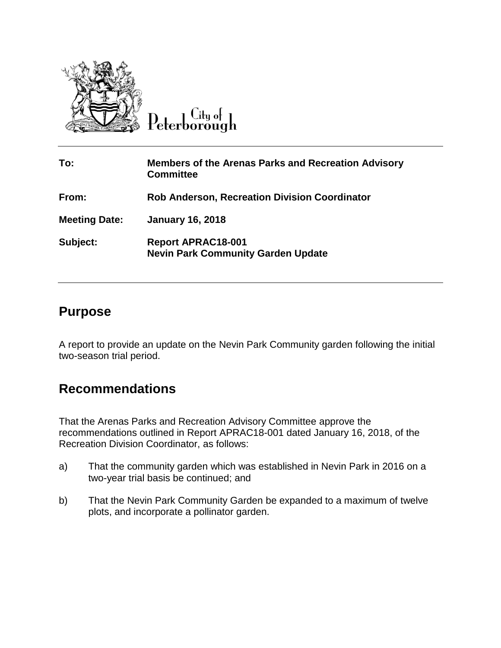

Peterborough

| To:                  | <b>Members of the Arenas Parks and Recreation Advisory</b><br><b>Committee</b> |
|----------------------|--------------------------------------------------------------------------------|
| From:                | <b>Rob Anderson, Recreation Division Coordinator</b>                           |
| <b>Meeting Date:</b> | <b>January 16, 2018</b>                                                        |
| Subject:             | <b>Report APRAC18-001</b><br><b>Nevin Park Community Garden Update</b>         |

## **Purpose**

A report to provide an update on the Nevin Park Community garden following the initial two-season trial period.

# **Recommendations**

That the Arenas Parks and Recreation Advisory Committee approve the recommendations outlined in Report APRAC18-001 dated January 16, 2018, of the Recreation Division Coordinator, as follows:

- a) That the community garden which was established in Nevin Park in 2016 on a two-year trial basis be continued; and
- b) That the Nevin Park Community Garden be expanded to a maximum of twelve plots, and incorporate a pollinator garden.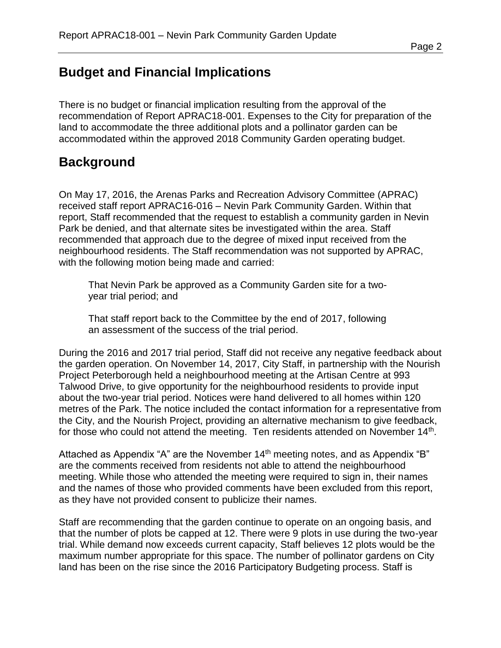# **Budget and Financial Implications**

There is no budget or financial implication resulting from the approval of the recommendation of Report APRAC18-001. Expenses to the City for preparation of the land to accommodate the three additional plots and a pollinator garden can be accommodated within the approved 2018 Community Garden operating budget.

## **Background**

On May 17, 2016, the Arenas Parks and Recreation Advisory Committee (APRAC) received staff report APRAC16-016 – Nevin Park Community Garden. Within that report, Staff recommended that the request to establish a community garden in Nevin Park be denied, and that alternate sites be investigated within the area. Staff recommended that approach due to the degree of mixed input received from the neighbourhood residents. The Staff recommendation was not supported by APRAC, with the following motion being made and carried:

That Nevin Park be approved as a Community Garden site for a twoyear trial period; and

That staff report back to the Committee by the end of 2017, following an assessment of the success of the trial period.

During the 2016 and 2017 trial period, Staff did not receive any negative feedback about the garden operation. On November 14, 2017, City Staff, in partnership with the Nourish Project Peterborough held a neighbourhood meeting at the Artisan Centre at 993 Talwood Drive, to give opportunity for the neighbourhood residents to provide input about the two-year trial period. Notices were hand delivered to all homes within 120 metres of the Park. The notice included the contact information for a representative from the City, and the Nourish Project, providing an alternative mechanism to give feedback, for those who could not attend the meeting. Ten residents attended on November  $14<sup>th</sup>$ .

Attached as Appendix "A" are the November 14<sup>th</sup> meeting notes, and as Appendix "B" are the comments received from residents not able to attend the neighbourhood meeting. While those who attended the meeting were required to sign in, their names and the names of those who provided comments have been excluded from this report, as they have not provided consent to publicize their names.

Staff are recommending that the garden continue to operate on an ongoing basis, and that the number of plots be capped at 12. There were 9 plots in use during the two-year trial. While demand now exceeds current capacity, Staff believes 12 plots would be the maximum number appropriate for this space. The number of pollinator gardens on City land has been on the rise since the 2016 Participatory Budgeting process. Staff is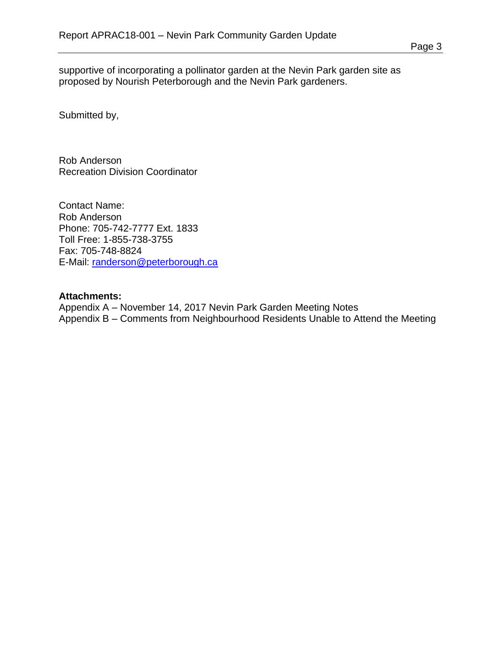supportive of incorporating a pollinator garden at the Nevin Park garden site as proposed by Nourish Peterborough and the Nevin Park gardeners.

Submitted by,

Rob Anderson Recreation Division Coordinator

Contact Name: Rob Anderson Phone: 705-742-7777 Ext. 1833 Toll Free: 1-855-738-3755 Fax: 705-748-8824 E-Mail: [randerson@peterborough.ca](mailto:randerson@peterborough.ca)

#### **Attachments:**

Appendix A – November 14, 2017 Nevin Park Garden Meeting Notes Appendix B – Comments from Neighbourhood Residents Unable to Attend the Meeting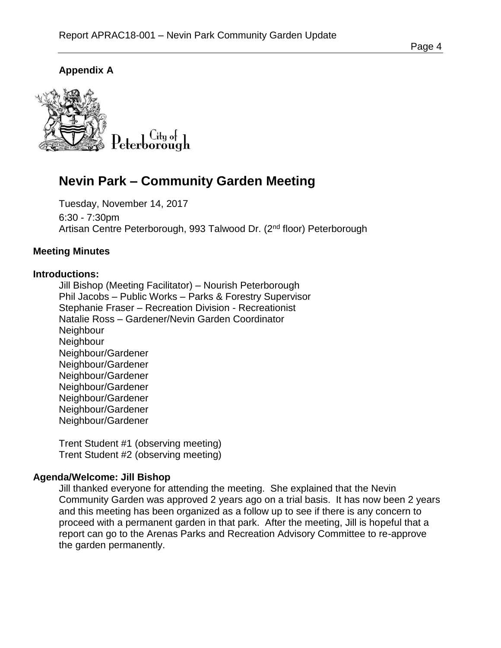## **Appendix A**



# **Nevin Park – Community Garden Meeting**

Tuesday, November 14, 2017 6:30 - 7:30pm Artisan Centre Peterborough, 993 Talwood Dr. (2<sup>nd</sup> floor) Peterborough

### **Meeting Minutes**

#### **Introductions:**

Jill Bishop (Meeting Facilitator) – Nourish Peterborough Phil Jacobs – Public Works – Parks & Forestry Supervisor Stephanie Fraser – Recreation Division - Recreationist Natalie Ross – Gardener/Nevin Garden Coordinator **Neighbour Neighbour** Neighbour/Gardener Neighbour/Gardener Neighbour/Gardener Neighbour/Gardener Neighbour/Gardener Neighbour/Gardener Neighbour/Gardener

Trent Student #1 (observing meeting) Trent Student #2 (observing meeting)

#### **Agenda/Welcome: Jill Bishop**

Jill thanked everyone for attending the meeting. She explained that the Nevin Community Garden was approved 2 years ago on a trial basis. It has now been 2 years and this meeting has been organized as a follow up to see if there is any concern to proceed with a permanent garden in that park. After the meeting, Jill is hopeful that a report can go to the Arenas Parks and Recreation Advisory Committee to re-approve the garden permanently.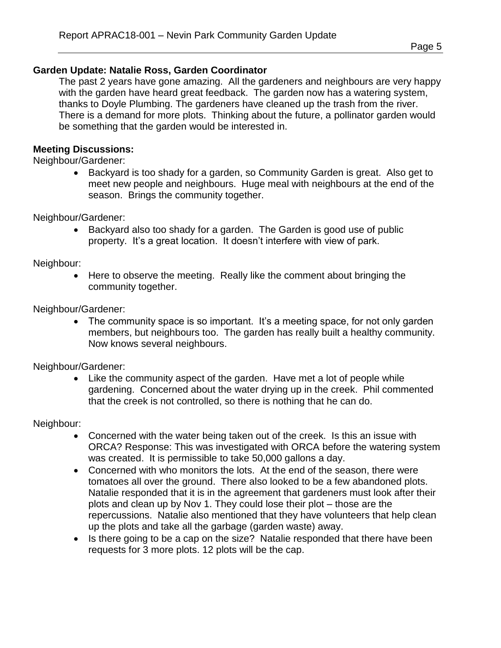## **Garden Update: Natalie Ross, Garden Coordinator**

The past 2 years have gone amazing. All the gardeners and neighbours are very happy with the garden have heard great feedback. The garden now has a watering system, thanks to Doyle Plumbing. The gardeners have cleaned up the trash from the river. There is a demand for more plots. Thinking about the future, a pollinator garden would be something that the garden would be interested in.

## **Meeting Discussions:**

Neighbour/Gardener:

• Backyard is too shady for a garden, so Community Garden is great. Also get to meet new people and neighbours. Huge meal with neighbours at the end of the season. Brings the community together.

Neighbour/Gardener:

• Backyard also too shady for a garden. The Garden is good use of public property. It's a great location. It doesn't interfere with view of park.

Neighbour:

 Here to observe the meeting. Really like the comment about bringing the community together.

Neighbour/Gardener:

• The community space is so important. It's a meeting space, for not only garden members, but neighbours too. The garden has really built a healthy community. Now knows several neighbours.

Neighbour/Gardener:

 Like the community aspect of the garden. Have met a lot of people while gardening. Concerned about the water drying up in the creek. Phil commented that the creek is not controlled, so there is nothing that he can do.

Neighbour:

- Concerned with the water being taken out of the creek. Is this an issue with ORCA? Response: This was investigated with ORCA before the watering system was created. It is permissible to take 50,000 gallons a day.
- Concerned with who monitors the lots. At the end of the season, there were tomatoes all over the ground. There also looked to be a few abandoned plots. Natalie responded that it is in the agreement that gardeners must look after their plots and clean up by Nov 1. They could lose their plot – those are the repercussions. Natalie also mentioned that they have volunteers that help clean up the plots and take all the garbage (garden waste) away.
- Is there going to be a cap on the size? Natalie responded that there have been requests for 3 more plots. 12 plots will be the cap.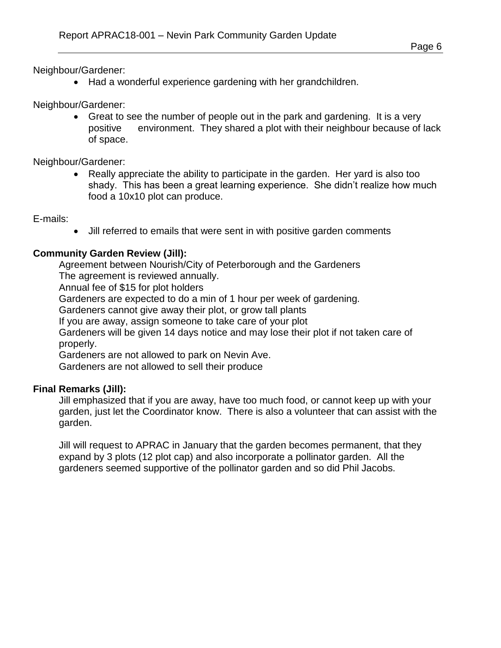Neighbour/Gardener:

• Had a wonderful experience gardening with her grandchildren.

Neighbour/Gardener:

 Great to see the number of people out in the park and gardening. It is a very positive environment. They shared a plot with their neighbour because of lack of space.

Neighbour/Gardener:

 Really appreciate the ability to participate in the garden. Her yard is also too shady. This has been a great learning experience. She didn't realize how much food a 10x10 plot can produce.

E-mails:

Jill referred to emails that were sent in with positive garden comments

#### **Community Garden Review (Jill):**

Agreement between Nourish/City of Peterborough and the Gardeners

The agreement is reviewed annually.

Annual fee of \$15 for plot holders

Gardeners are expected to do a min of 1 hour per week of gardening.

Gardeners cannot give away their plot, or grow tall plants

If you are away, assign someone to take care of your plot

Gardeners will be given 14 days notice and may lose their plot if not taken care of properly.

Gardeners are not allowed to park on Nevin Ave.

Gardeners are not allowed to sell their produce

#### **Final Remarks (Jill):**

Jill emphasized that if you are away, have too much food, or cannot keep up with your garden, just let the Coordinator know. There is also a volunteer that can assist with the garden.

Jill will request to APRAC in January that the garden becomes permanent, that they expand by 3 plots (12 plot cap) and also incorporate a pollinator garden. All the gardeners seemed supportive of the pollinator garden and so did Phil Jacobs.